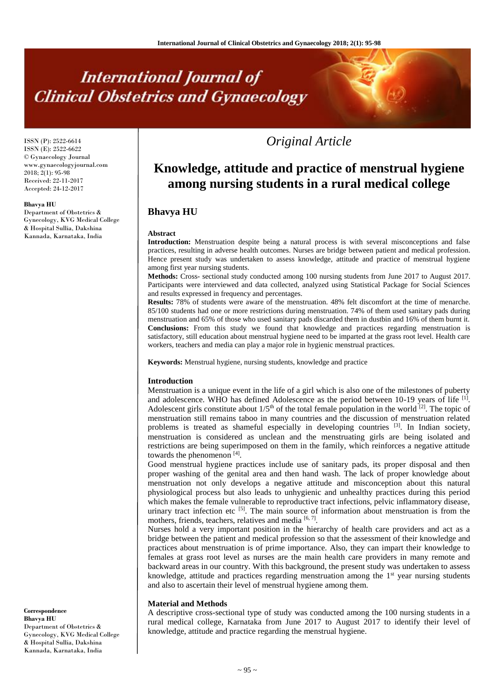# **International Journal of Clinical Obstetrics and Gynaecology**

ISSN (P): 2522-6614 ISSN (E): 2522-6622 © Gynaecology Journal www.gynaecologyjournal.com 2018; 2(1): 95-98 Received: 22-11-2017 Accepted: 24-12-2017

#### **Bhavya HU**

Department of Obstetrics & Gynecology, KVG Medical College & Hospital Sullia, Dakshina Kannada, Karnataka, India

*Original Article*

# **Knowledge, attitude and practice of menstrual hygiene among nursing students in a rural medical college**

# **Bhavya HU**

#### **Abstract**

**Introduction:** Menstruation despite being a natural process is with several misconceptions and false practices, resulting in adverse health outcomes. Nurses are bridge between patient and medical profession. Hence present study was undertaken to assess knowledge, attitude and practice of menstrual hygiene among first year nursing students.

**Methods:** Cross- sectional study conducted among 100 nursing students from June 2017 to August 2017. Participants were interviewed and data collected, analyzed using Statistical Package for Social Sciences and results expressed in frequency and percentages.

**Results:** 78% of students were aware of the menstruation. 48% felt discomfort at the time of menarche. 85/100 students had one or more restrictions during menstruation. 74% of them used sanitary pads during menstruation and 65% of those who used sanitary pads discarded them in dustbin and 16% of them burnt it. **Conclusions:** From this study we found that knowledge and practices regarding menstruation is satisfactory, still education about menstrual hygiene need to be imparted at the grass root level. Health care workers, teachers and media can play a major role in hygienic menstrual practices.

**Keywords:** Menstrual hygiene, nursing students, knowledge and practice

#### **Introduction**

Menstruation is a unique event in the life of a girl which is also one of the milestones of puberty and adolescence. WHO has defined Adolescence as the period between  $10-19$  years of life  $^{[1]}$ . Adolescent girls constitute about  $1/5<sup>th</sup>$  of the total female population in the world <sup>[2]</sup>. The topic of menstruation still remains taboo in many countries and the discussion of menstruation related problems is treated as shameful especially in developing countries  $[3]$ . In Indian society, menstruation is considered as unclean and the menstruating girls are being isolated and restrictions are being superimposed on them in the family, which reinforces a negative attitude towards the phenomenon [4].

Good menstrual hygiene practices include use of sanitary pads, its proper disposal and then proper washing of the genital area and then hand wash. The lack of proper knowledge about menstruation not only develops a negative attitude and misconception about this natural physiological process but also leads to unhygienic and unhealthy practices during this period which makes the female vulnerable to reproductive tract infections, pelvic inflammatory disease, urinary tract infection etc  $[5]$ . The main source of information about menstruation is from the mothers, friends, teachers, relatives and media [6,7].

Nurses hold a very important position in the hierarchy of health care providers and act as a bridge between the patient and medical profession so that the assessment of their knowledge and practices about menstruation is of prime importance. Also, they can impart their knowledge to females at grass root level as nurses are the main health care providers in many remote and backward areas in our country. With this background, the present study was undertaken to assess knowledge, attitude and practices regarding menstruation among the  $1<sup>st</sup>$  year nursing students and also to ascertain their level of menstrual hygiene among them.

#### **Material and Methods**

A descriptive cross-sectional type of study was conducted among the 100 nursing students in a rural medical college, Karnataka from June 2017 to August 2017 to identify their level of knowledge, attitude and practice regarding the menstrual hygiene.

**Bhavya HU** Department of Obstetrics & Gynecology, KVG Medical College & Hospital Sullia, Dakshina Kannada, Karnataka, India

**Correspondence**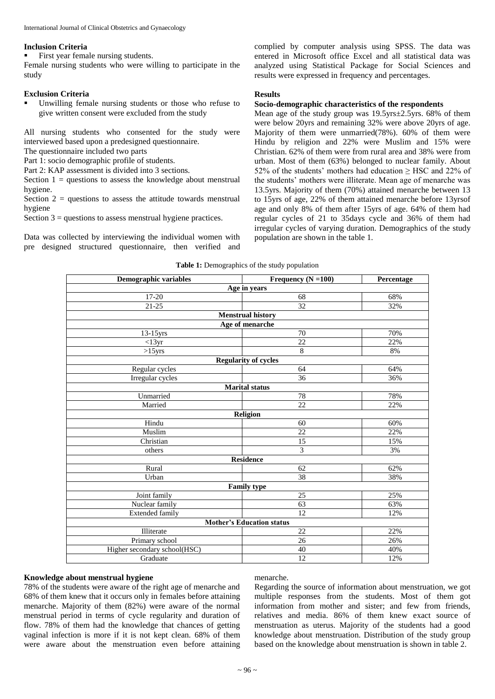#### **Inclusion Criteria**

First year female nursing students.

Female nursing students who were willing to participate in the study

#### **Exclusion Criteria**

 Unwilling female nursing students or those who refuse to give written consent were excluded from the study

All nursing students who consented for the study were interviewed based upon a predesigned questionnaire. The questionnaire included two parts

Part 1: socio demographic profile of students.

Part 2: KAP assessment is divided into 3 sections.

Section  $1 =$  questions to assess the knowledge about menstrual hygiene.

Section  $2 =$  questions to assess the attitude towards menstrual hygiene

Section  $3$  = questions to assess menstrual hygiene practices.

Data was collected by interviewing the individual women with pre designed structured questionnaire, then verified and complied by computer analysis using SPSS. The data was entered in Microsoft office Excel and all statistical data was analyzed using Statistical Package for Social Sciences and results were expressed in frequency and percentages.

# **Results**

# **Socio-demographic characteristics of the respondents**

Mean age of the study group was 19.5yrs±2.5yrs. 68% of them were below 20yrs and remaining 32% were above 20yrs of age. Majority of them were unmarried(78%). 60% of them were Hindu by religion and 22% were Muslim and 15% were Christian. 62% of them were from rural area and 38% were from urban. Most of them (63%) belonged to nuclear family. About 52% of the students' mothers had education ≥ HSC and 22% of the students' mothers were illiterate. Mean age of menarche was 13.5yrs. Majority of them (70%) attained menarche between 13 to 15yrs of age, 22% of them attained menarche before 13yrsof age and only 8% of them after 15yrs of age. 64% of them had regular cycles of 21 to 35days cycle and 36% of them had irregular cycles of varying duration. Demographics of the study population are shown in the table 1.

#### **Table 1:** Demographics of the study population

| Demographic variables            | Frequency $(N = 100)$       | Percentage |  |  |
|----------------------------------|-----------------------------|------------|--|--|
| Age in years                     |                             |            |  |  |
| $17-20$                          | 68                          | 68%        |  |  |
| $21 - 25$                        | 32                          | 32%        |  |  |
|                                  | <b>Menstrual history</b>    |            |  |  |
|                                  | Age of menarche             |            |  |  |
| $13-15$ yrs                      | 70                          | 70%        |  |  |
| $<13$ yr                         | $\overline{22}$             | 22%        |  |  |
| $>15$ yrs                        | 8                           | 8%         |  |  |
|                                  | <b>Regularity of cycles</b> |            |  |  |
| Regular cycles                   | 64                          | 64%        |  |  |
| Irregular cycles                 | 36                          | 36%        |  |  |
|                                  | <b>Marital</b> status       |            |  |  |
| Unmarried                        | 78                          | 78%        |  |  |
| Married                          | $\overline{22}$             | 22%        |  |  |
|                                  | Religion                    |            |  |  |
| Hindu                            | 60                          | 60%        |  |  |
| Muslim                           | 22                          | 22%        |  |  |
| Christian                        | 15                          | 15%        |  |  |
| others                           | $\overline{3}$              | 3%         |  |  |
|                                  | <b>Residence</b>            |            |  |  |
| Rural                            | 62                          | 62%        |  |  |
| Urban                            | 38                          | 38%        |  |  |
| <b>Family type</b>               |                             |            |  |  |
| Joint family                     | 25                          | 25%        |  |  |
| Nuclear family                   | 63                          | 63%        |  |  |
| <b>Extended family</b>           | $\overline{12}$             | 12%        |  |  |
| <b>Mother's Education status</b> |                             |            |  |  |
| Illiterate                       | 22                          | 22%        |  |  |
| Primary school                   | 26                          | 26%        |  |  |
| Higher secondary school(HSC)     | 40                          | 40%        |  |  |
| Graduate                         | $\overline{12}$             | 12%        |  |  |

#### **Knowledge about menstrual hygiene**

78% of the students were aware of the right age of menarche and 68% of them knew that it occurs only in females before attaining menarche. Majority of them (82%) were aware of the normal menstrual period in terms of cycle regularity and duration of flow. 78% of them had the knowledge that chances of getting vaginal infection is more if it is not kept clean. 68% of them were aware about the menstruation even before attaining

#### menarche.

Regarding the source of information about menstruation, we got multiple responses from the students. Most of them got information from mother and sister; and few from friends, relatives and media. 86% of them knew exact source of menstruation as uterus. Majority of the students had a good knowledge about menstruation. Distribution of the study group based on the knowledge about menstruation is shown in table 2.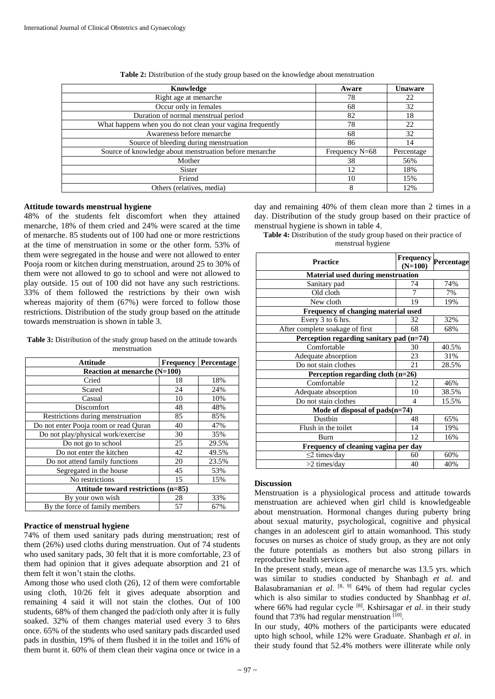| Knowledge                                                 | Aware            | <b>Unaware</b> |
|-----------------------------------------------------------|------------------|----------------|
| Right age at menarche                                     | 78               | 22             |
| Occur only in females                                     | 68               | 32             |
| Duration of normal menstrual period                       | 82               | 18             |
| What happens when you do not clean your vagina frequently | 78               | 22             |
| Awareness before menarche                                 | 68               | 32             |
| Source of bleeding during menstruation                    | 86               | 14             |
| Source of knowledge about menstruation before menarche    | Frequency $N=68$ | Percentage     |
| Mother                                                    | 38               | 56%            |
| <b>Sister</b>                                             | 12               | 18%            |
| Friend                                                    | 10               | 15%            |
| Others (relatives, media)                                 | 8                | 12%            |

**Table 2:** Distribution of the study group based on the knowledge about menstruation

# **Attitude towards menstrual hygiene**

48% of the students felt discomfort when they attained menarche, 18% of them cried and 24% were scared at the time of menarche. 85 students out of 100 had one or more restrictions at the time of menstruation in some or the other form. 53% of them were segregated in the house and were not allowed to enter Pooja room or kitchen during menstruation, around 25 to 30% of them were not allowed to go to school and were not allowed to play outside. 15 out of 100 did not have any such restrictions. 33% of them followed the restrictions by their own wish whereas majority of them  $(67%)$  were forced to follow those restrictions. Distribution of the study group based on the attitude towards menstruation is shown in table 3.

**Table 3:** Distribution of the study group based on the attitude towards menstruation

| <b>Attitude</b>                       | <b>Frequency</b> | Percentage |  |  |
|---------------------------------------|------------------|------------|--|--|
| Reaction at menarche (N=100)          |                  |            |  |  |
| Cried                                 | 18               | 18%        |  |  |
| Scared                                | 24               | 24%        |  |  |
| Casual                                | 10               | 10%        |  |  |
| Discomfort                            | 48               | 48%        |  |  |
| Restrictions during menstruation      | 85               | 85%        |  |  |
| Do not enter Pooja room or read Quran | 40               | 47%        |  |  |
| Do not play/physical work/exercise    | 30               | 35%        |  |  |
| Do not go to school                   | 25               | 29.5%      |  |  |
| Do not enter the kitchen              | 42               | 49.5%      |  |  |
| Do not attend family functions        | 20               | 23.5%      |  |  |
| Segregated in the house               | 45               | 53%        |  |  |
| No restrictions                       | 15               | 15%        |  |  |
| Attitude toward restrictions (n=85)   |                  |            |  |  |
| By your own wish                      | 28               | 33%        |  |  |
| By the force of family members        | 57               | 67%        |  |  |

# **Practice of menstrual hygiene**

74% of them used sanitary pads during menstruation; rest of them (26%) used cloths during menstruation. Out of 74 students who used sanitary pads, 30 felt that it is more comfortable, 23 of them had opinion that it gives adequate absorption and 21 of them felt it won't stain the cloths.

Among those who used cloth (26), 12 of them were comfortable using cloth, 10/26 felt it gives adequate absorption and remaining 4 said it will not stain the clothes. Out of 100 students, 68% of them changed the pad/cloth only after it is fully soaked. 32% of them changes material used every 3 to 6hrs once. 65% of the students who used sanitary pads discarded used pads in dustbin, 19% of them flushed it in the toilet and 16% of them burnt it. 60% of them clean their vagina once or twice in a day and remaining 40% of them clean more than 2 times in a day. Distribution of the study group based on their practice of menstrual hygiene is shown in table 4.

| <b>Table 4:</b> Distribution of the study group based on their practice of |  |
|----------------------------------------------------------------------------|--|
| menstrual hygiene                                                          |  |

| <b>Practice</b>                          | <b>Frequency</b><br>$(N=100)$ | Percentage |  |  |
|------------------------------------------|-------------------------------|------------|--|--|
| <b>Material used during menstruation</b> |                               |            |  |  |
| Sanitary pad                             | 74                            | 74%        |  |  |
| Old cloth                                | 7                             | 7%         |  |  |
| New cloth                                | 19                            | 19%        |  |  |
| Frequency of changing material used      |                               |            |  |  |
| Every 3 to 6 hrs.                        | 32                            | 32%        |  |  |
| After complete soakage of first          | 68                            | 68%        |  |  |
| Perception regarding sanitary pad (n=74) |                               |            |  |  |
| Comfortable                              | 30                            | 40.5%      |  |  |
| Adequate absorption                      | 23                            | 31%        |  |  |
| Do not stain clothes                     | 21                            | 28.5%      |  |  |
| Perception regarding cloth $(n=26)$      |                               |            |  |  |
| Comfortable                              | 12                            | 46%        |  |  |
| Adequate absorption                      | 10                            | 38.5%      |  |  |
| Do not stain clothes                     | $\overline{4}$                | 15.5%      |  |  |
| Mode of disposal of $pads(n=74)$         |                               |            |  |  |
| Dustbin                                  | 48                            | 65%        |  |  |
| Flush in the toilet                      | 14                            | 19%        |  |  |
| Burn                                     | 12                            | 16%        |  |  |
| Frequency of cleaning vagina per day     |                               |            |  |  |
| $\leq$ 2 times/day                       | 60                            | 60%        |  |  |
| $>2$ times/day                           | 40                            | 40%        |  |  |

# **Discussion**

Menstruation is a physiological process and attitude towards menstruation are achieved when girl child is knowledgeable about menstruation. Hormonal changes during puberty bring about sexual maturity, psychological, cognitive and physical changes in an adolescent girl to attain womanhood. This study focuses on nurses as choice of study group, as they are not only the future potentials as mothers but also strong pillars in reproductive health services.

In the present study, mean age of menarche was 13.5 yrs. which was similar to studies conducted by Shanbagh *et al*. and Balasubramanian *et al.* <sup>[8, 9]</sup> 64% of them had regular cycles which is also similar to studies conducted by Shanbhag *et al*. where 66% had regular cycle<sup>[8]</sup>. Kshirsagar *et al*. in their study found that 73% had regular menstruation [10].

In our study, 40% mothers of the participants were educated upto high school, while 12% were Graduate. Shanbagh *et al*. in their study found that 52.4% mothers were illiterate while only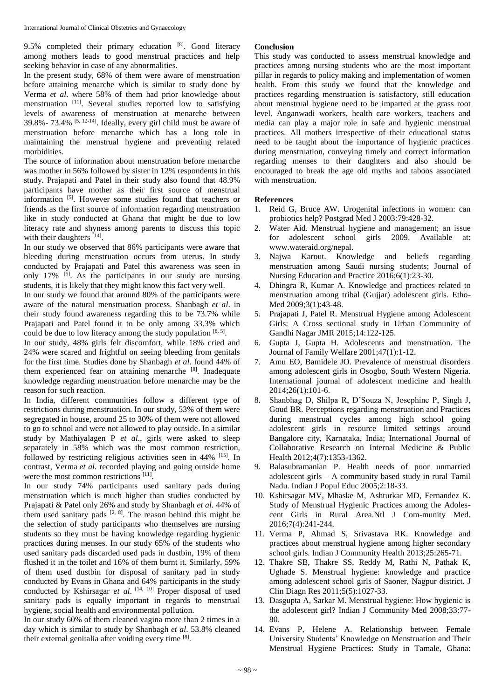9.5% completed their primary education [8]. Good literacy among mothers leads to good menstrual practices and help seeking behavior in case of any abnormalities.

In the present study, 68% of them were aware of menstruation before attaining menarche which is similar to study done by Verma *et al*. where 58% of them had prior knowledge about menstruation <sup>[11]</sup>. Several studies reported low to satisfying levels of awareness of menstruation at menarche between 39.8% -  $73.4\%$  [5, 12-14]. Ideally, every girl child must be aware of menstruation before menarche which has a long role in maintaining the menstrual hygiene and preventing related morbidities.

The source of information about menstruation before menarche was mother in 56% followed by sister in 12% respondents in this study. Prajapati and Patel in their study also found that 48.9% participants have mother as their first source of menstrual information<sup>[5]</sup>. However some studies found that teachers or friends as the first source of information regarding menstruation like in study conducted at Ghana that might be due to low literacy rate and shyness among parents to discuss this topic with their daughters [14].

In our study we observed that 86% participants were aware that bleeding during menstruation occurs from uterus. In study conducted by Prajapati and Patel this awareness was seen in only 17%  $[5]$ . As the participants in our study are nursing students, it is likely that they might know this fact very well.

In our study we found that around 80% of the participants were aware of the natural menstruation process. Shanbagh *et al*. in their study found awareness regarding this to be 73.7% while Prajapati and Patel found it to be only among 33.3% which could be due to low literacy among the study population  $[8, 5]$ .

In our study, 48% girls felt discomfort, while 18% cried and 24% were scared and frightful on seeing bleeding from genitals for the first time. Studies done by Shanbagh *et al*. found 44% of them experienced fear on attaining menarche [8]. Inadequate knowledge regarding menstruation before menarche may be the reason for such reaction.

In India, different communities follow a different type of restrictions during menstruation. In our study, 53% of them were segregated in house, around 25 to 30% of them were not allowed to go to school and were not allowed to play outside. In a similar study by Mathiyalagen P *et al*., girls were asked to sleep separately in 58% which was the most common restriction, followed by restricting religious activities seen in 44% <sup>[15]</sup>. In contrast, Verma *et al.* recorded playing and going outside home were the most common restrictions [11].

In our study 74% participants used sanitary pads during menstruation which is much higher than studies conducted by Prajapati & Patel only 26% and study by Shanbagh *et al*. 44% of them used sanitary pads  $[2, 8]$ . The reason behind this might be the selection of study participants who themselves are nursing students so they must be having knowledge regarding hygienic practices during menses. In our study 65% of the students who used sanitary pads discarded used pads in dustbin, 19% of them flushed it in the toilet and 16% of them burnt it. Similarly, 59% of them used dustbin for disposal of sanitary pad in study conducted by Evans in Ghana and 64% participants in the study conducted by Kshirsagar *et al*. [14, 10] Proper disposal of used sanitary pads is equally important in regards to menstrual hygiene, social health and environmental pollution.

In our study 60% of them cleaned vagina more than 2 times in a day which is similar to study by Shanbagh *et al*. 53.8% cleaned their external genitalia after voiding every time [8].

# **Conclusion**

This study was conducted to assess menstrual knowledge and practices among nursing students who are the most important pillar in regards to policy making and implementation of women health. From this study we found that the knowledge and practices regarding menstruation is satisfactory, still education about menstrual hygiene need to be imparted at the grass root level. Anganwadi workers, health care workers, teachers and media can play a major role in safe and hygienic menstrual practices. All mothers irrespective of their educational status need to be taught about the importance of hygienic practices during menstruation, conveying timely and correct information regarding menses to their daughters and also should be encouraged to break the age old myths and taboos associated with menstruation.

#### **References**

- 1. Reid G, Bruce AW. Urogenital infections in women: can probiotics help? Postgrad Med J 2003:79:428-32.
- Water Aid. Menstrual hygiene and management; an issue for adolescent school girls 2009. Available at: www.wateraid.org/nepal.
- 3. Najwa Karout. Knowledge and beliefs regarding menstruation among Saudi nursing students; Journal of Nursing Education and Practice 2016;6(1):23-30.
- 4. Dhingra R, Kumar A. Knowledge and practices related to menstruation among tribal (Gujjar) adolescent girls. Etho-Med 2009;3(1):43-48.
- 5. Prajapati J, Patel R. Menstrual Hygiene among Adolescent Girls: A Cross sectional study in Urban Community of Gandhi Nagar JMR 2015;14:122-125.
- 6. Gupta J, Gupta H. Adolescents and menstruation. The Journal of Family Welfare 2001;47(1):1-12.
- 7. Amu EO, Bamidele JO. Prevalence of menstrual disorders among adolescent girls in Osogbo, South Western Nigeria. International journal of adolescent medicine and health 2014;26(1):101-6.
- 8. Shanbhag D, Shilpa R, D'Souza N, Josephine P, Singh J, Goud BR. Perceptions regarding menstruation and Practices during menstrual cycles among high school going adolescent girls in resource limited settings around Bangalore city, Karnataka, India; International Journal of Collaborative Research on Internal Medicine & Public Health 2012;4(7):1353-1362.
- 9. Balasubramanian P. Health needs of poor unmarried adolescent girls – A community based study in rural Tamil Nadu. Indian J Popul Educ 2005;2:18-33.
- 10. Kshirsagar MV, Mhaske M, Ashturkar MD, Fernandez K. Study of Menstrual Hygienic Practices among the Adolescent Girls in Rural Area.Ntl J Com-munity Med. 2016;7(4):241-244.
- 11. Verma P, Ahmad S, Srivastava RK. Knowledge and practices about menstrual hygiene among higher secondary school girls. Indian J Community Health 2013;25:265-71.
- 12. Thakre SB, Thakre SS, Reddy M, Rathi N, Pathak K, Ughade S. Menstrual hygiene: knowledge and practice among adolescent school girls of Saoner, Nagpur district. J Clin Diagn Res 2011;5(5):1027-33.
- 13. Dasgupta A, Sarkar M. Menstrual hygiene: How hygienic is the adolescent girl? Indian J Community Med 2008;33:77- 80.
- 14. Evans P, Helene A. Relationship between Female University Students' Knowledge on Menstruation and Their Menstrual Hygiene Practices: Study in Tamale, Ghana: